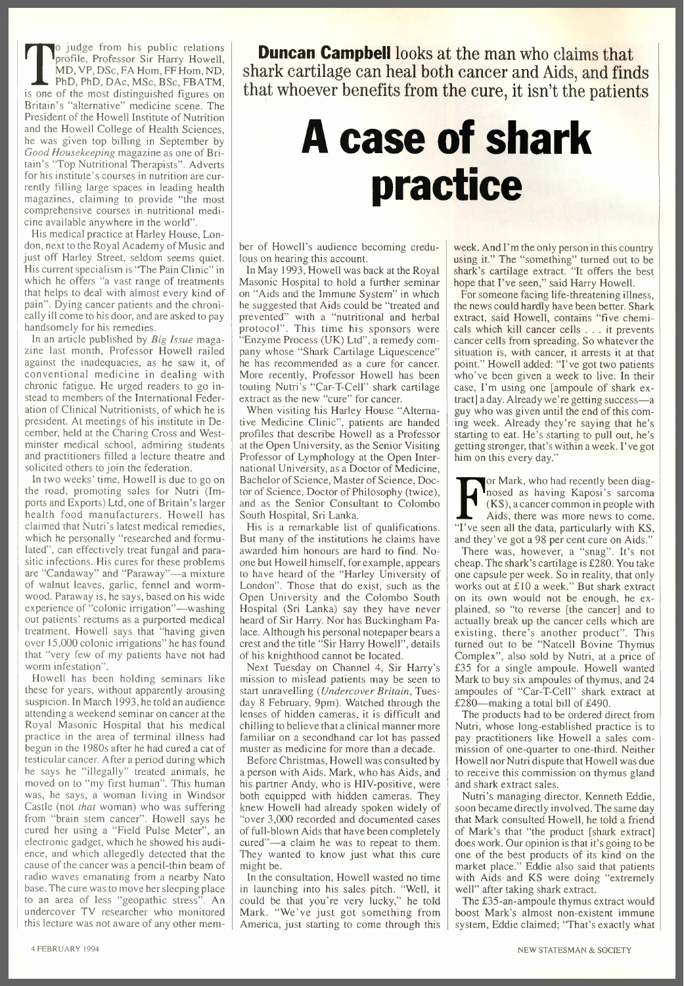profile, Professor Sir Harry Howell<br>MD, VP, DSc, FA Hom, FF Hom, ND<br>PhD, PhD, DAc, MSc, BSc, FBATM<br>is one of the most distinguished figures on o judge from his public relations profile, Professor Sir Harry Howell, MD, VP, DSc, FA Hom, FF Hom, ND, PhD, PhD, DAc, MSc, BSc, FBATM, Britain's "alternative" medicine scene. The President of the Howell Institute of Nutrition and the Howell College of Health Sciences, he was given top billing in September by Good Housekeeping magazine as one of Britain's "Top Nutritional Therapists". Adverts for his institute's courses in nutrition are currently filling large spaces in leading health magazines, claiming to provide "the most comprehensive courses in nutritional medicine available anywhere in the world".

His medical practice at Harley House, London, next to the Royal Academy of Music and just off Harley Street, seldom seems quiet. His current specialism is "The Pain Clinic" in which he offers "a vast range of treatments that helps to deal with almost every kind of pain". Dying cancer patients and the chronically ill come to his door, and are asked to pay handsomely for his remedies.

In an article published by *Big Issue* magazine last month, Professor Howell railed against the inadequacies, as he saw it, of conventional medicine in dealing with chronic fatigue. He urged readers to go instead to members of the International Federation of Clinical Nutritionists, of which he is president. At meetings of his institute in December, held at the Charing Cross and Westminster medical school, admiring students and practitioners filled a lecture theatre and solicited others to join the federation.

In two weeks' time, Howell is due to go on the road, promoting sales for Nutri (Imports and Exports) Ltd, one of Britain's larger health food manufacturers. Howell has claimed that Nutri's latest medical remedies, which he personally "researched and formulated", can effectively treat fungal and parasitic infections. His cures for these problems are "Candaway" and "Paraway"-a mixture of walnut leaves, garlic, fennel and wormwood. Paraway is, he says, based on his wide experience of "colonic irrigation"—washing out patients' rectums as a purported medical treatment. Howell says that "having given over 15,000 colonic irrigations" he has found that "very few of my patients have not had worm infestation".

Howell has been holding seminars like these for years, without apparently arousing suspicion. In March 1993, he told an audience attending a weekend seminar on cancer at the Royal Masonic Hospital that his medical practice in the area of terminal illness had begun in the 1980s after he had cured a cat of testicular cancer. After a period during which he says he "illegally" treated animals, he moved on to "my first human". This human was, he says, a woman living in Windsor Castle (not *that* woman) who was suffering from "brain stem cancer". Howell says he cured her using a "Field Pulse Meter", an electronic gadget, which he showed his audience, and which allegedly detected that the cause of the cancer was a pencil-thin beam of radio waves emanating from a nearby Nato base. The cure was to move her sleeping place to an area of less "geopathic stress". An undercover TV researcher who monitored this lecture was not aware of any other mem-

**Duncan Campbelllooks at the man who claims that shark cartilage can heal both cancer and Aids, and finds that whoever benefits from the cure, it isn't the patients**

## **A case of shark practice**

ber of Howell's audience becoming credulous on hearing this account.

In May 1993, Howell was back at the Royal Masonic Hospital to hold a further seminar on "Aids and the Immune System" in which he suggested that Aids could be "treated and prevented" with a "nutritional and herba protocol". This time his sponsors wer "Enzyme Process (UK) Ltd", a remedy company whose "Shark Cartilage Liquescence" he has recommended as a cure for cancer. More recently, Professor Howell has been touting Nutri's "Car-T-Cell" shark cartilage extract as the new "cure" for cancer.

When visiting his Harley House "Alternative Medicine Clinic", patients are handed profiles that describe Howell as a Professor at the Open University, as the Senior Visiting Professor of Lymphology at the Open International University, as a Doctor of Medicine, Bachelor of Science, Master of Science, Doctor of Science, Doctor of Philosophy (twice), and as the Senior Consultant to Colombo South Hospital, Sri Lanka.

His is a remarkable list of qualifications. But many of the institutions he claims have awarded him honours are hard to find. Noone but Howell himself, for example, appears to have heard of the "Harley University of London". Those that do exist, such as the Open University and the Colombo South Hospital (Sri Lanka) say they have never heard of Sir Harry. Nor has Buckingham Palace. Although his personal notepaper bears a crest and the title ''Sir Harry Howell'', detail of his knighthood cannot be located.

Next Tuesday on Channel 4, Sir Harry's mission to mislead patients may be seen to start unravelling *(Undercover Britain,* Tuesday 8 February, 9pm). Watched through the lenses of hidden cameras, it is difficult and chilling to believe that a clinical manner more familiar on a secondhand car lot has passed muster as medicine for more than a decade.

Before Christmas, Howell was consulted by a person with Aids. Mark, who has Aids, and his partner Andy, who is HIV-positive, were both equipped with hidden cameras. They knew Howell had already spoken widely of "over 3,000 recorded and documented cases of full-blown Aids that have been completely cured"-a claim he was to repeat to them. They wanted to know just what this cure might be.

In the consultation, Howell wasted no time in launching into his sales pitch. "Well, it could be that you're very lucky," he told Mark. "We've just got something from America, just starting to come through this week. And I'm the only person in this country using it." The "something" turned out to be shark's cartilage extract. "It offers the best hope that I've seen," said Harry HowelI.

For someone facing life-threatening illness, the news could hardly have been better. Shark extract, said Howell, contains "five chemicals which kill cancer cells ... it prevents cancer cells from spreading. So whatever the situation is, with cancer, it arrests it at that point." Howell added: "I've got two patients who've been given a week to live. In their case, I'm using one [ampoule of shark extract] aday. Already we're getting success-a guy who was given until the end of this coming week. Already they're saying that he's starting to eat. He's starting to pull out, he's getting stronger, that's within a week. I've got him on this every day."

Italy or Mark, who had recently been diagnoside as having Kaposides are commonly (KS), a cancer common in people with Aids, there was more news to come "I've seen all the data, particularly with KS or Mark, who had recently been diag nosed as having Kaposi's sarcom (KS), a cancer common in people with Aids, there was more news to come. and they've got a 98 per cent cure on Aids."

There was, however, a "snag". It's not cheap. The shark's cartilage is £280. You take one capsule per week. So in reality, that only works out at £10 a week." But shark extract on its own would not be enough, he explained, so "to reverse [the cancer] and to actually break up the cancer cells which are existing, there's another product". Thi turned out to be "Natcell Bovine Thymus Complex", also sold by Nutri, at a price of £35 for a single ampoule. Howell wanted Mark to buy six ampoules of thymus, and 24 ampoules of "Car- T-Cell" shark extract at £280-making a total bill of £490.

The products had to be ordered direct from Nutri, whose long-established practice is to pay practitioners like Howell a sales commission of one-quarter to one-third. Neither Howell nor Nutri dispute that Howell was due to receive this commission on thymus gland and shark extract sales.

Nutri's managing director, Kenneth Eddie, soon became directly involved. The same day that Mark consulted Howell, he told a friend of Mark's that "the product [shark extract] does work. Our opinion is that it's going to be one of the best products of its kind on the market place." Eddie also said that patients with Aids and KS were doing "extremely well" after taking shark extract.

The £35-an-ampoule thymus extract would boost Mark's almost non-existent immune system, Eddie claimed; "That's exactly what